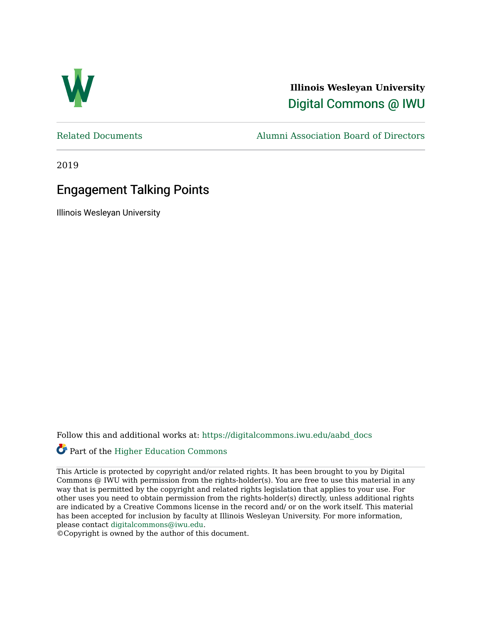

**Illinois Wesleyan University**  [Digital Commons @ IWU](https://digitalcommons.iwu.edu/) 

[Related Documents](https://digitalcommons.iwu.edu/aabd_docs) [Alumni Association Board of Directors](https://digitalcommons.iwu.edu/alumni_aabd) 

2019

# Engagement Talking Points

Illinois Wesleyan University

Follow this and additional works at: [https://digitalcommons.iwu.edu/aabd\\_docs](https://digitalcommons.iwu.edu/aabd_docs?utm_source=digitalcommons.iwu.edu%2Faabd_docs%2F20&utm_medium=PDF&utm_campaign=PDFCoverPages) 

#### Part of the [Higher Education Commons](https://network.bepress.com/hgg/discipline/1245?utm_source=digitalcommons.iwu.edu%2Faabd_docs%2F20&utm_medium=PDF&utm_campaign=PDFCoverPages)

This Article is protected by copyright and/or related rights. It has been brought to you by Digital Commons @ IWU with permission from the rights-holder(s). You are free to use this material in any way that is permitted by the copyright and related rights legislation that applies to your use. For other uses you need to obtain permission from the rights-holder(s) directly, unless additional rights are indicated by a Creative Commons license in the record and/ or on the work itself. This material has been accepted for inclusion by faculty at Illinois Wesleyan University. For more information, please contact [digitalcommons@iwu.edu.](mailto:digitalcommons@iwu.edu)

©Copyright is owned by the author of this document.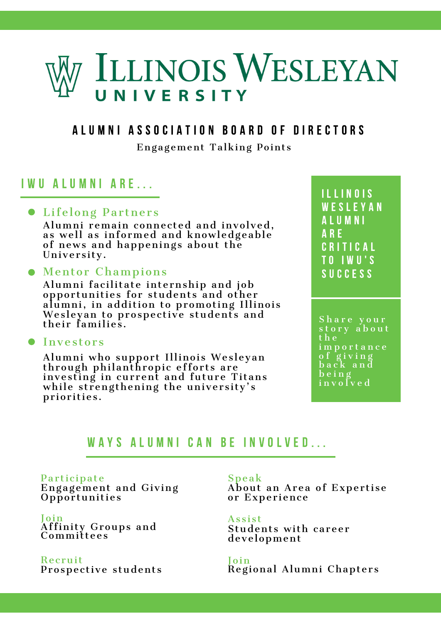# ILLINOIS WESLEYAN UNIVERSITY

## A L U M N I A S S O C I A T I O N B O A R D O F D I R E C T O R S

Engagement Talking Points

# I W U A L U M N I A R E . . .

## • Lifelong Partners

Alumni remain connected and involved, as well as informed and knowledgeable of news and happenings about the University.

## Mentor Champions

Alumni facilitate internship and job opportunities for students and other alumni, in addition to promoting Illinois Wesleyan to prospective students and their families.

#### **• Investors**

Alumni who support Illinois Wesleyan through philanthropic efforts are investing in current and future Titans while strengthening the university's priorities.

I L L I N O I S W E S L E Y A N A L U M N I A R E C R I T I C A L T O I W U ' S S U C C E S S

S h a r e y o u r story about t h e i m p o r t a n c e o f g i v i n g b a c k a n d  $b \sin g$  $\overline{\mathbf{i}}$  n v o I v e d

# WAYS ALUMNI CAN BE INVOLVED...

Participate Engagement and Giving Opportunities

Join Affinity Groups and Committees

Recruit Prospective students Speak

About an Area of Expertise or Experience

**Assist** Students with career development

Join Regional Alumni Chapter s